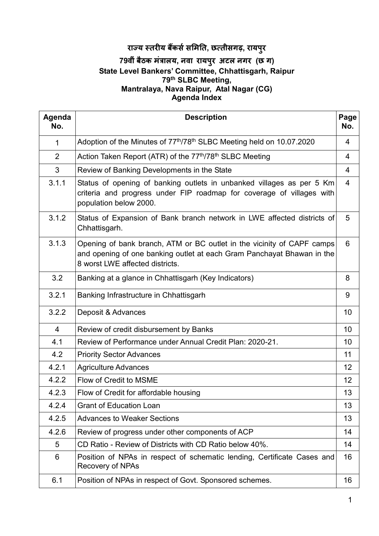# **राय तरय बकससमत, छतीसगढ़, रायपुर**

## **79वींबैठक मंालय, नवा रायपुर अटल नगर (छ ग) State Level Bankers' Committee, Chhattisgarh, Raipur 79th SLBC Meeting, Mantralaya, Nava Raipur, Atal Nagar (CG) Agenda Index**

| Agenda<br>No.  | <b>Description</b>                                                                                                                                                                  | Page<br>No.    |  |  |
|----------------|-------------------------------------------------------------------------------------------------------------------------------------------------------------------------------------|----------------|--|--|
| 1              | Adoption of the Minutes of 77 <sup>th</sup> /78 <sup>th</sup> SLBC Meeting held on 10.07.2020                                                                                       | 4              |  |  |
| 2              | Action Taken Report (ATR) of the 77th/78th SLBC Meeting                                                                                                                             | $\overline{4}$ |  |  |
| 3              | Review of Banking Developments in the State                                                                                                                                         | 4              |  |  |
| 3.1.1          | Status of opening of banking outlets in unbanked villages as per 5 Km<br>criteria and progress under FIP roadmap for coverage of villages with<br>population below 2000.            | $\overline{4}$ |  |  |
| 3.1.2          | Status of Expansion of Bank branch network in LWE affected districts of<br>Chhattisgarh.                                                                                            | 5              |  |  |
| 3.1.3          | Opening of bank branch, ATM or BC outlet in the vicinity of CAPF camps<br>and opening of one banking outlet at each Gram Panchayat Bhawan in the<br>8 worst LWE affected districts. |                |  |  |
| 3.2            | Banking at a glance in Chhattisgarh (Key Indicators)                                                                                                                                | 8              |  |  |
| 3.2.1          | Banking Infrastructure in Chhattisgarh                                                                                                                                              | 9              |  |  |
| 3.2.2          | Deposit & Advances                                                                                                                                                                  | 10             |  |  |
| $\overline{4}$ | Review of credit disbursement by Banks                                                                                                                                              | 10             |  |  |
| 4.1            | Review of Performance under Annual Credit Plan: 2020-21.                                                                                                                            | 10             |  |  |
| 4.2            | <b>Priority Sector Advances</b>                                                                                                                                                     | 11             |  |  |
| 4.2.1          | <b>Agriculture Advances</b>                                                                                                                                                         | 12             |  |  |
| 4.2.2          | Flow of Credit to MSME                                                                                                                                                              | 12             |  |  |
| 4.2.3          | Flow of Credit for affordable housing                                                                                                                                               | 13             |  |  |
| 4.2.4          | <b>Grant of Education Loan</b>                                                                                                                                                      | 13             |  |  |
| 4.2.5          | <b>Advances to Weaker Sections</b>                                                                                                                                                  | 13             |  |  |
| 4.2.6          | Review of progress under other components of ACP                                                                                                                                    | 14             |  |  |
| 5              | CD Ratio - Review of Districts with CD Ratio below 40%.                                                                                                                             | 14             |  |  |
| 6              | Position of NPAs in respect of schematic lending, Certificate Cases and<br><b>Recovery of NPAs</b>                                                                                  | 16             |  |  |
| 6.1            | Position of NPAs in respect of Govt. Sponsored schemes.                                                                                                                             | 16             |  |  |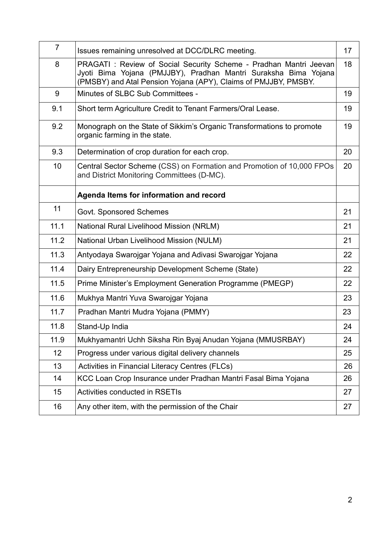| $\overline{7}$ | Issues remaining unresolved at DCC/DLRC meeting.                                                                                                                                                        | 17 |
|----------------|---------------------------------------------------------------------------------------------------------------------------------------------------------------------------------------------------------|----|
| 8              | PRAGATI: Review of Social Security Scheme - Pradhan Mantri Jeevan<br>Jyoti Bima Yojana (PMJJBY), Pradhan Mantri Suraksha Bima Yojana<br>(PMSBY) and Atal Pension Yojana (APY), Claims of PMJJBY, PMSBY. | 18 |
| 9              | Minutes of SLBC Sub Committees -                                                                                                                                                                        | 19 |
| 9.1            | Short term Agriculture Credit to Tenant Farmers/Oral Lease.                                                                                                                                             | 19 |
| 9.2            | Monograph on the State of Sikkim's Organic Transformations to promote<br>organic farming in the state.                                                                                                  | 19 |
| 9.3            | Determination of crop duration for each crop.                                                                                                                                                           | 20 |
| 10             | Central Sector Scheme (CSS) on Formation and Promotion of 10,000 FPOs<br>and District Monitoring Committees (D-MC).                                                                                     | 20 |
|                | Agenda Items for information and record                                                                                                                                                                 |    |
| 11             | <b>Govt. Sponsored Schemes</b>                                                                                                                                                                          | 21 |
| 11.1           | <b>National Rural Livelihood Mission (NRLM)</b>                                                                                                                                                         | 21 |
| 11.2           | National Urban Livelihood Mission (NULM)                                                                                                                                                                | 21 |
| 11.3           | Antyodaya Swarojgar Yojana and Adivasi Swarojgar Yojana                                                                                                                                                 | 22 |
| 11.4           | Dairy Entrepreneurship Development Scheme (State)                                                                                                                                                       | 22 |
| 11.5           | Prime Minister's Employment Generation Programme (PMEGP)                                                                                                                                                | 22 |
| 11.6           | Mukhya Mantri Yuva Swarojgar Yojana                                                                                                                                                                     | 23 |
| 11.7           | Pradhan Mantri Mudra Yojana (PMMY)                                                                                                                                                                      | 23 |
| 11.8           | Stand-Up India                                                                                                                                                                                          | 24 |
| 11.9           | Mukhyamantri Uchh Siksha Rin Byaj Anudan Yojana (MMUSRBAY)                                                                                                                                              | 24 |
| 12             | Progress under various digital delivery channels                                                                                                                                                        | 25 |
| 13             | Activities in Financial Literacy Centres (FLCs)                                                                                                                                                         | 26 |
| 14             | KCC Loan Crop Insurance under Pradhan Mantri Fasal Bima Yojana                                                                                                                                          | 26 |
| 15             | <b>Activities conducted in RSETIs</b>                                                                                                                                                                   | 27 |
| 16             | Any other item, with the permission of the Chair                                                                                                                                                        | 27 |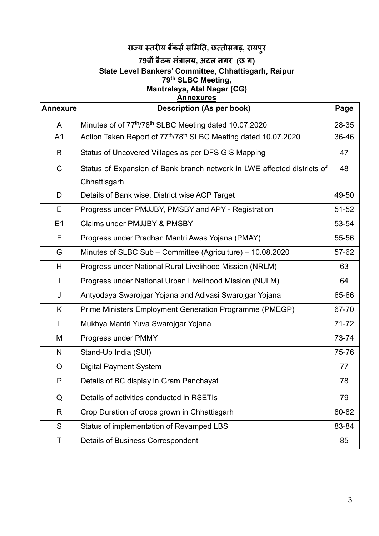# **राय तरय बकससमत, छतीसगढ़, रायपुर**

#### **79वींबैठक मंालय, अटल नगर (छ ग) State Level Bankers' Committee, Chhattisgarh, Raipur 79th SLBC Meeting, Mantralaya, Atal Nagar (CG) Annexures**

| <b>Annexure</b> | <b>Description (As per book)</b><br>Page                                       |           |  |  |  |
|-----------------|--------------------------------------------------------------------------------|-----------|--|--|--|
| $\mathsf{A}$    | Minutes of of 77 <sup>th</sup> /78 <sup>th</sup> SLBC Meeting dated 10.07.2020 | 28-35     |  |  |  |
| A <sub>1</sub>  | Action Taken Report of 77th/78th SLBC Meeting dated 10.07.2020                 | 36-46     |  |  |  |
| B               | Status of Uncovered Villages as per DFS GIS Mapping                            | 47        |  |  |  |
| $\mathsf{C}$    | Status of Expansion of Bank branch network in LWE affected districts of        | 48        |  |  |  |
|                 | Chhattisgarh                                                                   |           |  |  |  |
| D               | Details of Bank wise, District wise ACP Target                                 | 49-50     |  |  |  |
| Е               | Progress under PMJJBY, PMSBY and APY - Registration                            | $51 - 52$ |  |  |  |
| E <sub>1</sub>  | Claims under PMJJBY & PMSBY                                                    | 53-54     |  |  |  |
| F               | Progress under Pradhan Mantri Awas Yojana (PMAY)                               | 55-56     |  |  |  |
| G               | Minutes of SLBC Sub – Committee (Agriculture) – 10.08.2020                     | 57-62     |  |  |  |
| H               | Progress under National Rural Livelihood Mission (NRLM)                        | 63        |  |  |  |
| $\mathsf{I}$    | Progress under National Urban Livelihood Mission (NULM)                        | 64        |  |  |  |
| J               | Antyodaya Swarojgar Yojana and Adivasi Swarojgar Yojana                        | 65-66     |  |  |  |
| K               | Prime Ministers Employment Generation Programme (PMEGP)                        | 67-70     |  |  |  |
| L               | Mukhya Mantri Yuva Swarojgar Yojana                                            | $71 - 72$ |  |  |  |
| M               | Progress under PMMY                                                            | 73-74     |  |  |  |
| N               | Stand-Up India (SUI)                                                           | 75-76     |  |  |  |
| $\circ$         | <b>Digital Payment System</b>                                                  | 77        |  |  |  |
| P               | Details of BC display in Gram Panchayat                                        | 78        |  |  |  |
| Q               | Details of activities conducted in RSETIs                                      | 79        |  |  |  |
| R               | Crop Duration of crops grown in Chhattisgarh                                   | 80-82     |  |  |  |
| S               | Status of implementation of Revamped LBS                                       | 83-84     |  |  |  |
| Τ               | <b>Details of Business Correspondent</b>                                       | 85        |  |  |  |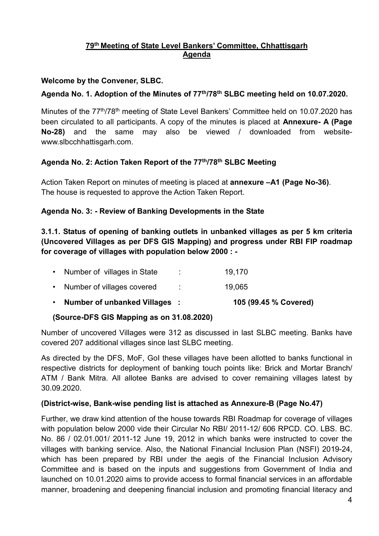## **79th Meeting of State Level Bankers' Committee, Chhattisgarh Agenda**

## **Welcome by the Convener, SLBC.**

## **Agenda No. 1. Adoption of the Minutes of 77th/78th SLBC meeting held on 10.07.2020.**

Minutes of the 77<sup>th</sup>/78<sup>th</sup> meeting of State Level Bankers' Committee held on 10.07.2020 has been circulated to all participants. A copy of the minutes is placed at **Annexure- A (Page No-28)** and the same may also be viewed / downloaded from websitewww.slbcchhattisgarh.com.

## **Agenda No. 2: Action Taken Report of the 77th/78th SLBC Meeting**

Action Taken Report on minutes of meeting is placed at **annexure –A1 (Page No-36)**. The house is requested to approve the Action Taken Report.

## **Agenda No. 3: - Review of Banking Developments in the State**

**3.1.1. Status of opening of banking outlets in unbanked villages as per 5 km criteria (Uncovered Villages as per DFS GIS Mapping) and progress under RBI FIP roadmap for coverage of villages with population below 2000 : -**

| • Number of unbanked Villages: |   | 105 (99.45 % Covered) |
|--------------------------------|---|-----------------------|
| • Number of villages covered   | ÷ | 19,065                |
| • Number of villages in State  | ÷ | 19.170                |

#### **(Source-DFS GIS Mapping as on 31.08.2020)**

Number of uncovered Villages were 312 as discussed in last SLBC meeting. Banks have covered 207 additional villages since last SLBC meeting.

As directed by the DFS, MoF, GoI these villages have been allotted to banks functional in respective districts for deployment of banking touch points like: Brick and Mortar Branch/ ATM / Bank Mitra. All allotee Banks are advised to cover remaining villages latest by 30.09.2020.

#### **(District-wise, Bank-wise pending list is attached as Annexure-B (Page No.47)**

Further, we draw kind attention of the house towards RBI Roadmap for coverage of villages with population below 2000 vide their Circular No RBI/ 2011-12/ 606 RPCD. CO. LBS. BC. No. 86 / 02.01.001/ 2011-12 June 19, 2012 in which banks were instructed to cover the villages with banking service. Also, the National Financial Inclusion Plan (NSFI) 2019-24, which has been prepared by RBI under the aegis of the Financial Inclusion Advisory Committee and is based on the inputs and suggestions from Government of India and launched on 10.01.2020 aims to provide access to formal financial services in an affordable manner, broadening and deepening financial inclusion and promoting financial literacy and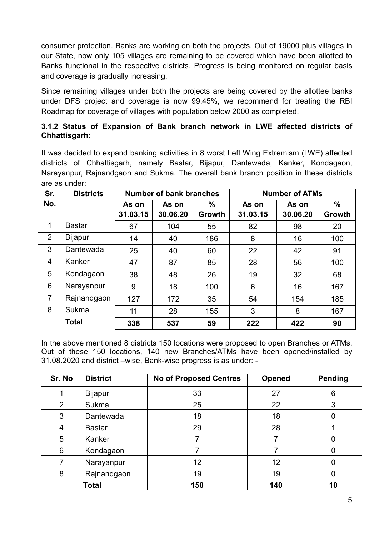consumer protection. Banks are working on both the projects. Out of 19000 plus villages in our State, now only 105 villages are remaining to be covered which have been allotted to Banks functional in the respective districts. Progress is being monitored on regular basis and coverage is gradually increasing.

Since remaining villages under both the projects are being covered by the allottee banks under DFS project and coverage is now 99.45%, we recommend for treating the RBI Roadmap for coverage of villages with population below 2000 as completed.

#### **3.1.2 Status of Expansion of Bank branch network in LWE affected districts of Chhattisgarh:**

It was decided to expand banking activities in 8 worst Left Wing Extremism (LWE) affected districts of Chhattisgarh, namely Bastar, Bijapur, Dantewada, Kanker, Kondagaon, Narayanpur, Rajnandgaon and Sukma. The overall bank branch position in these districts are as under:

| Sr.            | <b>Districts</b> |          | <b>Number of bank branches</b> |        |          | <b>Number of ATMs</b> |               |  |
|----------------|------------------|----------|--------------------------------|--------|----------|-----------------------|---------------|--|
| No.            |                  | As on    | As on                          | $\%$   | As on    | As on                 | $\frac{0}{0}$ |  |
|                |                  | 31.03.15 | 30.06.20                       | Growth | 31.03.15 | 30.06.20              | Growth        |  |
| 1              | <b>Bastar</b>    | 67       | 104                            | 55     | 82       | 98                    | 20            |  |
| $\overline{2}$ | <b>Bijapur</b>   | 14       | 40                             | 186    | 8        | 16                    | 100           |  |
| 3              | Dantewada        | 25       | 40                             | 60     | 22       | 42                    | 91            |  |
| $\overline{4}$ | Kanker           | 47       | 87                             | 85     | 28       | 56                    | 100           |  |
| 5              | Kondagaon        | 38       | 48                             | 26     | 19       | 32                    | 68            |  |
| 6              | Narayanpur       | 9        | 18                             | 100    | 6        | 16                    | 167           |  |
| $\overline{7}$ | Rajnandgaon      | 127      | 172                            | 35     | 54       | 154                   | 185           |  |
| 8              | Sukma            | 11       | 28                             | 155    | 3        | 8                     | 167           |  |
|                | <b>Total</b>     | 338      | 537                            | 59     | 222      | 422                   | 90            |  |

In the above mentioned 8 districts 150 locations were proposed to open Branches or ATMs. Out of these 150 locations, 140 new Branches/ATMs have been opened/installed by 31.08.2020 and district –wise, Bank-wise progress is as under: -

| Sr. No | <b>District</b> | <b>No of Proposed Centres</b> | <b>Opened</b> | <b>Pending</b> |
|--------|-----------------|-------------------------------|---------------|----------------|
|        | <b>Bijapur</b>  | 33                            | 27            | 6              |
| 2      | Sukma           | 25                            | 22            | 3              |
| 3      | Dantewada       | 18                            | 18            | O              |
| 4      | <b>Bastar</b>   | 29                            | 28            |                |
| 5      | Kanker          |                               |               | O              |
| 6      | Kondagaon       |                               |               |                |
| 7      | Narayanpur      | 12                            | 12            |                |
| 8      | Rajnandgaon     | 19                            | 19            | 0              |
|        | <b>Total</b>    | 150                           | 140           | 10             |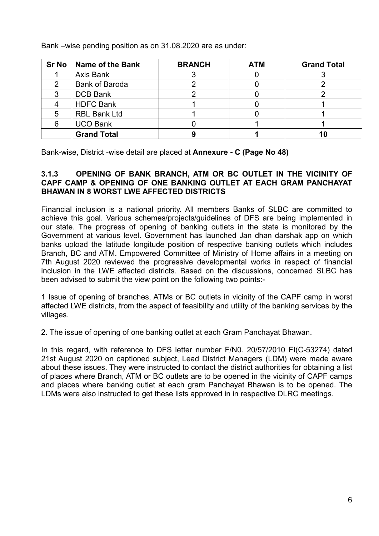| <b>Sr No</b> | Name of the Bank      | <b>BRANCH</b> | <b>ATM</b> | <b>Grand Total</b> |
|--------------|-----------------------|---------------|------------|--------------------|
|              | Axis Bank             |               |            |                    |
|              | <b>Bank of Baroda</b> |               |            |                    |
|              | <b>DCB Bank</b>       |               |            |                    |
|              | <b>HDFC Bank</b>      |               |            |                    |
| 5            | <b>RBL Bank Ltd</b>   |               |            |                    |
| 6            | <b>UCO Bank</b>       |               |            |                    |
|              | <b>Grand Total</b>    |               |            |                    |

Bank –wise pending position as on 31.08.2020 are as under:

Bank-wise, District -wise detail are placed at **Annexure - C (Page No 48)**

#### **3.1.3 OPENING OF BANK BRANCH, ATM OR BC OUTLET IN THE VICINITY OF CAPF CAMP & OPENING OF ONE BANKING OUTLET AT EACH GRAM PANCHAYAT BHAWAN IN 8 WORST LWE AFFECTED DISTRICTS**

Financial inclusion is a national priority. All members Banks of SLBC are committed to achieve this goal. Various schemes/projects/guidelines of DFS are being implemented in our state. The progress of opening of banking outlets in the state is monitored by the Government at various level. Government has launched Jan dhan darshak app on which banks upload the latitude longitude position of respective banking outlets which includes Branch, BC and ATM. Empowered Committee of Ministry of Home affairs in a meeting on 7th August 2020 reviewed the progressive developmental works in respect of financial inclusion in the LWE affected districts. Based on the discussions, concerned SLBC has been advised to submit the view point on the following two points:-

1 Issue of opening of branches, ATMs or BC outlets in vicinity of the CAPF camp in worst affected LWE districts, from the aspect of feasibility and utility of the banking services by the villages.

2. The issue of opening of one banking outlet at each Gram Panchayat Bhawan.

In this regard, with reference to DFS letter number F/N0. 20/57/2010 FI(C-53274) dated 21st August 2020 on captioned subject, Lead District Managers (LDM) were made aware about these issues. They were instructed to contact the district authorities for obtaining a list of places where Branch, ATM or BC outlets are to be opened in the vicinity of CAPF camps and places where banking outlet at each gram Panchayat Bhawan is to be opened. The LDMs were also instructed to get these lists approved in in respective DLRC meetings.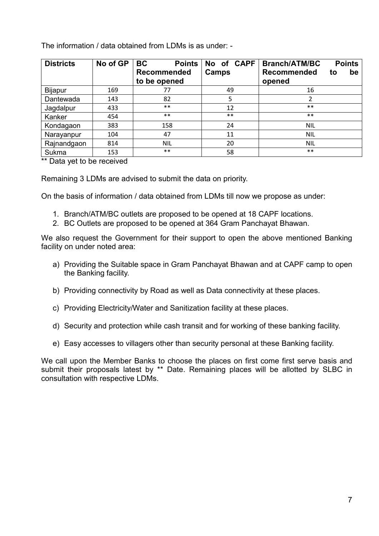The information / data obtained from LDMs is as under: -

| <b>Districts</b> | No of GP | <b>BC</b><br><b>Points</b> | No of CAPF | <b>Points</b><br><b>Branch/ATM/BC</b> |
|------------------|----------|----------------------------|------------|---------------------------------------|
|                  |          | <b>Recommended</b>         | Camps      | <b>Recommended</b><br>be<br>to        |
|                  |          | to be opened               |            | opened                                |
| Bijapur          | 169      | 77                         | 49         | 16                                    |
| Dantewada        | 143      | 82                         | 5          | 2                                     |
| Jagdalpur        | 433      | $***$                      | 12         | $***$                                 |
| Kanker           | 454      | $***$                      | $***$      | $***$                                 |
| Kondagaon        | 383      | 158                        | 24         | <b>NIL</b>                            |
| Narayanpur       | 104      | 47                         | 11         | NIL                                   |
| Rajnandgaon      | 814      | <b>NIL</b>                 | 20         | <b>NIL</b>                            |
| Sukma            | 153      | $***$                      | 58         | $***$                                 |

\*\* Data yet to be received

Remaining 3 LDMs are advised to submit the data on priority.

On the basis of information / data obtained from LDMs till now we propose as under:

- 1. Branch/ATM/BC outlets are proposed to be opened at 18 CAPF locations.
- 2. BC Outlets are proposed to be opened at 364 Gram Panchayat Bhawan.

We also request the Government for their support to open the above mentioned Banking facility on under noted area:

- a) Providing the Suitable space in Gram Panchayat Bhawan and at CAPF camp to open the Banking facility.
- b) Providing connectivity by Road as well as Data connectivity at these places.
- c) Providing Electricity/Water and Sanitization facility at these places.
- d) Security and protection while cash transit and for working of these banking facility.
- e) Easy accesses to villagers other than security personal at these Banking facility.

We call upon the Member Banks to choose the places on first come first serve basis and submit their proposals latest by \*\* Date. Remaining places will be allotted by SLBC in consultation with respective LDMs.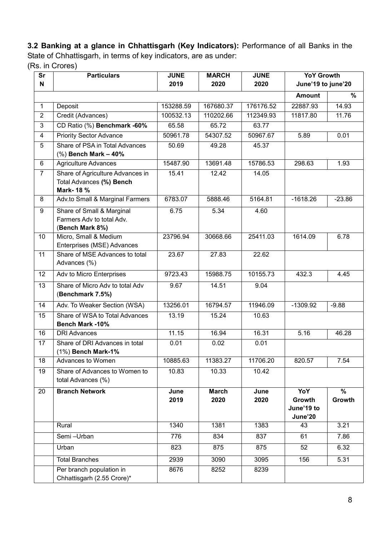**3.2 Banking at a glance in Chhattisgarh (Key Indicators):** Performance of all Banks in the State of Chhattisgarh, in terms of key indicators, are as under:

(Rs. in Crores)

| Sr<br>N        | <b>Particulars</b>                                                         | <b>JUNE</b><br>2019 | <b>MARCH</b><br>2020 | <b>JUNE</b><br>2020 | <b>YoY Growth</b><br>June'19 to june'20 |                |
|----------------|----------------------------------------------------------------------------|---------------------|----------------------|---------------------|-----------------------------------------|----------------|
|                |                                                                            |                     |                      |                     | <b>Amount</b>                           | %              |
| $\mathbf{1}$   | Deposit                                                                    | 153288.59           | 167680.37            | 176176.52           | 22887.93                                | 14.93          |
| $\overline{2}$ | Credit (Advances)                                                          | 100532.13           | 110202.66            | 112349.93           | 11817.80                                | 11.76          |
| 3              | CD Ratio (%) Benchmark -60%                                                | 65.58               | 65.72                | 63.77               |                                         |                |
| $\overline{4}$ | <b>Priority Sector Advance</b>                                             | 50961.78            | 54307.52             | 50967.67            | 5.89                                    | 0.01           |
| 5              | Share of PSA in Total Advances<br>$%$ ) Bench Mark - 40%                   | 50.69               | 49.28                | 45.37               |                                         |                |
| 6              | <b>Agriculture Advances</b>                                                | 15487.90            | 13691.48             | 15786.53            | 298.63                                  | 1.93           |
| $\overline{7}$ | Share of Agriculture Advances in<br>Total Advances (%) Bench<br>Mark- 18 % | 15.41               | 12.42                | 14.05               |                                         |                |
| 8              | Adv.to Small & Marginal Farmers                                            | 6783.07             | 5888.46              | 5164.81             | $-1618.26$                              | $-23.86$       |
| 9              | Share of Small & Marginal<br>Farmers Adv to total Adv.<br>(Bench Mark 8%)  | 6.75                | 5.34                 | 4.60                |                                         |                |
| 10             | Micro, Small & Medium<br>Enterprises (MSE) Advances                        | 23796.94            | 30668.66             | 25411.03            | 1614.09                                 | 6.78           |
| 11             | Share of MSE Advances to total<br>Advances (%)                             | 23.67               | 27.83                | 22.62               |                                         |                |
| 12             | Adv to Micro Enterprises                                                   | 9723.43             | 15988.75             | 10155.73            | 432.3                                   | 4.45           |
| 13             | Share of Micro Adv to total Adv<br>(Benchmark 7.5%)                        | 9.67                | 14.51                | 9.04                |                                         |                |
| 14             | Adv. To Weaker Section (WSA)                                               | 13256.01            | 16794.57             | 11946.09            | $-1309.92$                              | $-9.88$        |
| 15             | Share of WSA to Total Advances<br><b>Bench Mark -10%</b>                   | 13.19               | 15.24                | 10.63               |                                         |                |
| 16             | <b>DRI Advances</b>                                                        | 11.15               | 16.94                | 16.31               | 5.16                                    | 46.28          |
| 17             | Share of DRI Advances in total<br>(1%) Bench Mark-1%                       | 0.01                | 0.02                 | 0.01                |                                         |                |
| 18             | Advances to Women                                                          | 10885.63            | 11383.27             | 11706.20            | 820.57                                  | 7.54           |
| 19             | Share of Advances to Women to<br>total Advances (%)                        | 10.83               | 10.33                | 10.42               |                                         |                |
| 20             | <b>Branch Network</b>                                                      | June<br>2019        | <b>March</b><br>2020 | June<br>2020        | YoY<br>Growth<br>June'19 to<br>June'20  | $\%$<br>Growth |
|                | Rural                                                                      | 1340                | 1381                 | 1383                | 43                                      | 3.21           |
|                | Semi-Urban                                                                 | 776                 | 834                  | 837                 | 61                                      | 7.86           |
|                | Urban                                                                      | 823                 | 875                  | 875                 | 52                                      | 6.32           |
|                | <b>Total Branches</b>                                                      | 2939                | 3090                 | 3095                | 156                                     | 5.31           |
|                | Per branch population in<br>Chhattisgarh (2.55 Crore)*                     | 8676                | 8252                 | 8239                |                                         |                |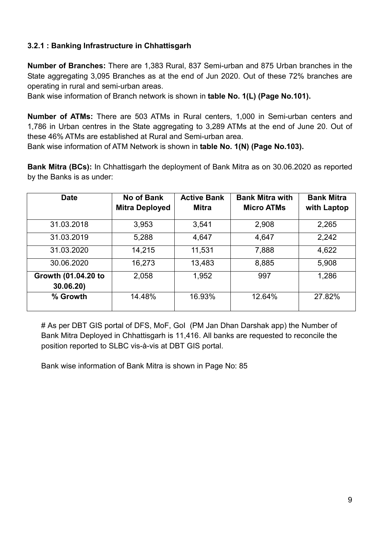## **3.2.1 : Banking Infrastructure in Chhattisgarh**

**Number of Branches:** There are 1,383 Rural, 837 Semi-urban and 875 Urban branches in the State aggregating 3,095 Branches as at the end of Jun 2020. Out of these 72% branches are operating in rural and semi-urban areas.

Bank wise information of Branch network is shown in **table No. 1(L) (Page No.101).**

**Number of ATMs:** There are 503 ATMs in Rural centers, 1,000 in Semi-urban centers and 1,786 in Urban centres in the State aggregating to 3,289 ATMs at the end of June 20. Out of these 46% ATMs are established at Rural and Semi-urban area.

Bank wise information of ATM Network is shown in **table No. 1(N) (Page No.103).**

**Bank Mitra (BCs):** In Chhattisgarh the deployment of Bank Mitra as on 30.06.2020 as reported by the Banks is as under:

| <b>Date</b>                      | <b>No of Bank</b><br><b>Mitra Deployed</b> | <b>Active Bank</b><br><b>Mitra</b> | <b>Bank Mitra with</b><br><b>Micro ATMs</b> | <b>Bank Mitra</b><br>with Laptop |
|----------------------------------|--------------------------------------------|------------------------------------|---------------------------------------------|----------------------------------|
| 31.03.2018                       | 3,953                                      | 3,541                              | 2,908                                       | 2,265                            |
| 31.03.2019                       | 5,288                                      | 4,647                              | 4,647                                       | 2,242                            |
| 31.03.2020                       | 14,215                                     | 11,531                             | 7,888                                       | 4,622                            |
| 30.06.2020                       | 16,273                                     | 13,483                             | 8,885                                       | 5,908                            |
| Growth (01.04.20 to<br>30.06.20) | 2,058                                      | 1,952                              | 997                                         | 1,286                            |
| % Growth                         | 14.48%                                     | 16.93%                             | 12.64%                                      | 27.82%                           |

# As per DBT GIS portal of DFS, MoF, GoI (PM Jan Dhan Darshak app) the Number of Bank Mitra Deployed in Chhattisgarh is 11,416. All banks are requested to reconcile the position reported to SLBC vis-à-vis at DBT GIS portal.

Bank wise information of Bank Mitra is shown in Page No: 85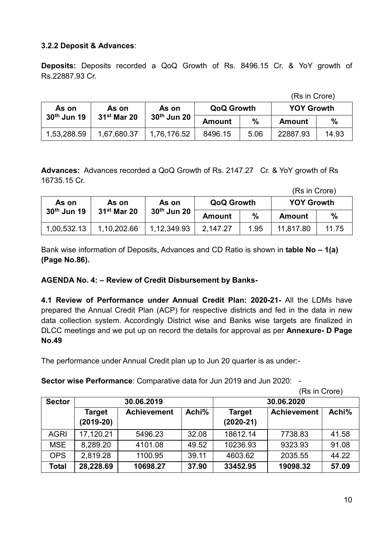## **3.2.2 Deposit & Advances**:

**Deposits:** Deposits recorded a QoQ Growth of Rs. 8496.15 Cr. & YoY growth of Rs.22887.93 Cr.

(Rs in Crore)

| As on         | As on         | As on<br>30 <sup>th</sup> Jun 20 | <b>QoQ Growth</b> |      | <b>YOY Growth</b> |               |
|---------------|---------------|----------------------------------|-------------------|------|-------------------|---------------|
| $30th$ Jun 19 | $31st$ Mar 20 |                                  | Amount            | $\%$ | Amount            | $\frac{0}{0}$ |
| 1,53,288.59   | 1,67,680.37   | 1,76,176.52                      | 8496.15           | 5.06 | 22887.93          | 14.93         |

**Advances:** Advances recorded a QoQ Growth of Rs. 2147.27 Cr. & YoY growth of Rs 16735.15 Cr.

<sup>(</sup>Rs in Crore)

| As on         | As on         | As on<br>30 <sup>th</sup> Jun 20 | <b>QoQ Growth</b> |      | <b>YOY Growth</b> |               |
|---------------|---------------|----------------------------------|-------------------|------|-------------------|---------------|
| $30th$ Jun 19 | $31st$ Mar 20 |                                  | <b>Amount</b>     | %    | Amount            | $\frac{0}{0}$ |
| 1,00,532.13   | 1,10,202.66   | 1,12,349.93                      | 2,147.27          | 1.95 | 11.817.80         | 11.75         |

Bank wise information of Deposits, Advances and CD Ratio is shown in **table No – 1(a) (Page No.86).**

#### **AGENDA No. 4: – Review of Credit Disbursement by Banks-**

**4.1 Review of Performance under Annual Credit Plan: 2020-21-** All the LDMs have prepared the Annual Credit Plan (ACP) for respective districts and fed in the data in new data collection system. Accordingly District wise and Banks wise targets are finalized in DLCC meetings and we put up on record the details for approval as per **Annexure- D Page No.49**

The performance under Annual Credit plan up to Jun 20 quarter is as under:-

**Sector wise Performance**: Comparative data for Jun 2019 and Jun 2020: -

(Rs in Crore)

| <b>Sector</b> |                       | 30.06.2019         |       |                              | 30.06.2020         |       |
|---------------|-----------------------|--------------------|-------|------------------------------|--------------------|-------|
|               | Target<br>$(2019-20)$ | <b>Achievement</b> | Achi% | <b>Target</b><br>$(2020-21)$ | <b>Achievement</b> | Achi% |
| <b>AGRI</b>   | 17,120.21             | 5496.23            | 32.08 | 18612.14                     | 7738.83            | 41.58 |
| <b>MSE</b>    | 8,289.20              | 4101.08            | 49.52 | 10236.93                     | 9323.93            | 91.08 |
| <b>OPS</b>    | 2,819.28              | 1100.95            | 39.11 | 4603.62                      | 2035.55            | 44.22 |
| <b>Total</b>  | 28,228.69             | 10698.27           | 37.90 | 33452.95                     | 19098.32           | 57.09 |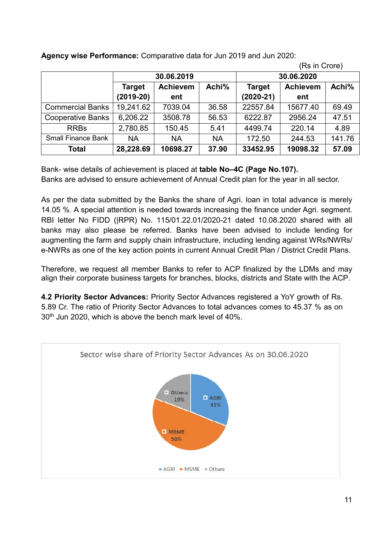|                           | 30.06.2019                                |           |               | 30.06.2020      |          |        |
|---------------------------|-------------------------------------------|-----------|---------------|-----------------|----------|--------|
|                           | Achi%<br><b>Achievem</b><br><b>Target</b> |           | <b>Target</b> | <b>Achievem</b> | Achi%    |        |
|                           | $(2019-20)$                               | ent       |               | $(2020-21)$     | ent      |        |
| <b>Commercial Banks</b>   | 19,241.62                                 | 7039.04   | 36.58         | 22557.84        | 15677.40 | 69.49  |
| <b>Cooperative Banks</b>  | 6,206.22                                  | 3508.78   | 56.53         | 6222.87         | 2956.24  | 47.51  |
| <b>RRBs</b>               | 2,780.85                                  | 150.45    | 5.41          | 4499.74         | 220.14   | 4.89   |
| <b>Small Finance Bank</b> | <b>NA</b>                                 | <b>NA</b> | <b>NA</b>     | 172.50          | 244.53   | 141.76 |
| Total                     | 28,228.69                                 | 10698.27  | 37.90         | 33452.95        | 19098.32 | 57.09  |

**Agency wise Performance:** Comparative data for Jun 2019 and Jun 2020:

Bank- wise details of achievement is placed at **table No–4C (Page No.107).** Banks are advised to ensure achievement of Annual Credit plan for the year in all sector.

As per the data submitted by the Banks the share of Agri. loan in total advance is merely 14.05 %. A special attention is needed towards increasing the finance under Agri. segment. RBI letter No FIDD (|RPR) No. 115/01.22.01/2020-21 dated 10.08.2020 shared with all banks may also please be referred. Banks have been advised to include lending for augmenting the farm and supply chain infrastructure, including lending against WRs/NWRs/ e-NWRs as one of the key action points in current Annual Credit Plan / District Credit Plans.

Therefore, we request all member Banks to refer to ACP finalized by the LDMs and may align their corporate business targets for branches, blocks, districts and State with the ACP.

**4.2 Priority Sector Advances:** Priority Sector Advances registered a YoY growth of Rs. 5.89 Cr. The ratio of Priority Sector Advances to total advances comes to 45.37 % as on  $30<sup>th</sup>$  Jun 2020, which is above the bench mark level of 40%.



(Rs in Crore)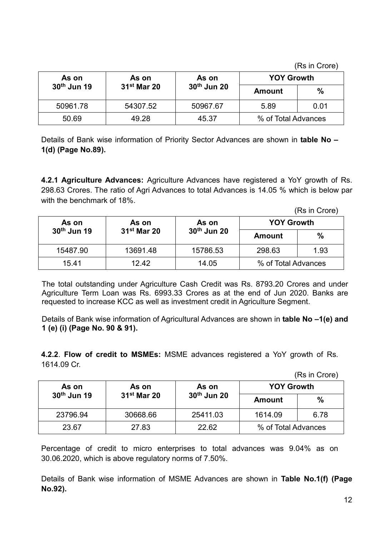(Rs in Crore)

| As on       | As on         | As on                   | <b>YOY Growth</b>   |               |
|-------------|---------------|-------------------------|---------------------|---------------|
| 30th Jun 19 | $31st$ Mar 20 | 30 <sup>th</sup> Jun 20 | <b>Amount</b>       | $\frac{0}{0}$ |
| 50961.78    | 54307.52      | 50967.67                | 5.89                | 0.01          |
| 50.69       | 49.28         | 45.37                   | % of Total Advances |               |

Details of Bank wise information of Priority Sector Advances are shown in **table No – 1(d) (Page No.89).**

**4.2.1 Agriculture Advances:** Agriculture Advances have registered a YoY growth of Rs. 298.63 Crores. The ratio of Agri Advances to total Advances is 14.05 % which is below par with the benchmark of 18%.

(Rs in Crore)

| As on<br>As on<br>As on |               | <b>YOY Growth</b>       |                     |      |
|-------------------------|---------------|-------------------------|---------------------|------|
| 30 <sup>th</sup> Jun 19 | $31st$ Mar 20 | 30 <sup>th</sup> Jun 20 | <b>Amount</b>       | %    |
| 15487.90                | 13691.48      | 15786.53                | 298.63              | 1.93 |
| 15.41                   | 12.42         | 14.05                   | % of Total Advances |      |

The total outstanding under Agriculture Cash Credit was Rs. 8793.20 Crores and under Agriculture Term Loan was Rs. 6993.33 Crores as at the end of Jun 2020. Banks are requested to increase KCC as well as investment credit in Agriculture Segment.

Details of Bank wise information of Agricultural Advances are shown in **table No –1(e) and 1 (e) (i) (Page No. 90 & 91).**

**4.2.2**. **Flow of credit to MSMEs:** MSME advances registered a YoY growth of Rs. 1614.09 Cr.

(Rs in Crore)

| As on                   | As on         | As on                   | <b>YOY Growth</b>   |      |  |
|-------------------------|---------------|-------------------------|---------------------|------|--|
| 30 <sup>th</sup> Jun 19 | $31st$ Mar 20 | 30 <sup>th</sup> Jun 20 | <b>Amount</b>       | %    |  |
| 23796.94                | 30668.66      | 25411.03                | 1614.09             | 6.78 |  |
| 23.67                   | 27.83         | 22.62                   | % of Total Advances |      |  |

Percentage of credit to micro enterprises to total advances was 9.04% as on 30.06.2020, which is above regulatory norms of 7.50%.

Details of Bank wise information of MSME Advances are shown in **Table No.1(f) (Page No.92).**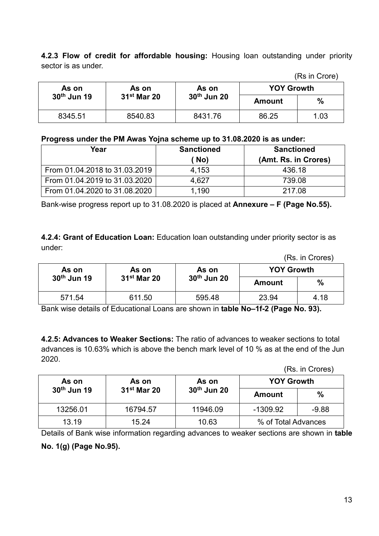**4.2.3 Flow of credit for affordable housing:** Housing loan outstanding under priority sector is as under.

|                         |                           |             |                   | ,,,,,,,,,,,,,,, |
|-------------------------|---------------------------|-------------|-------------------|-----------------|
| As on                   | As on                     | As on       | <b>YOY Growth</b> |                 |
| 30 <sup>th</sup> Jun 19 | $31$ <sup>st</sup> Mar 20 | 30th Jun 20 | Amount            | $\frac{0}{0}$   |
| 8345.51                 | 8540.83                   | 8431.76     | 86.25             | 1.03            |

#### **Progress under the PM Awas Yojna scheme up to 31.08.2020 is as under:**

| -                             |                   |                      |
|-------------------------------|-------------------|----------------------|
| Year                          | <b>Sanctioned</b> | <b>Sanctioned</b>    |
|                               | (No)              | (Amt. Rs. in Crores) |
| From 01.04.2018 to 31.03.2019 | 4.153             | 436.18               |
| From 01.04.2019 to 31.03.2020 | 4.627             | 739.08               |
| From 01.04.2020 to 31.08.2020 | 1,190             | 217.08               |

Bank-wise progress report up to 31.08.2020 is placed at **Annexure – F (Page No.55).**

**4.2.4: Grant of Education Loan:** Education loan outstanding under priority sector is as under:

(Rs. in Crores)

(Rs in Crore)

| As on       | As on         | As on       | <b>YOY Growth</b> |               |
|-------------|---------------|-------------|-------------------|---------------|
| 30th Jun 19 | $31st$ Mar 20 | 30th Jun 20 | Amount            | $\frac{0}{0}$ |
| 571.54      | 611.50        | 595.48      | 23.94             | 4.18          |

Bank wise details of Educational Loans are shown in **table No–1f-2 (Page No. 93).**

**4.2.5: Advances to Weaker Sections:** The ratio of advances to weaker sections to total advances is 10.63% which is above the bench mark level of 10 % as at the end of the Jun 2020.

(Rs. in Crores)

| As on                   | As on         | As on                   | <b>YOY Growth</b>   |         |
|-------------------------|---------------|-------------------------|---------------------|---------|
| 30 <sup>th</sup> Jun 19 | $31st$ Mar 20 | 30 <sup>th</sup> Jun 20 | <b>Amount</b>       | %       |
| 13256.01                | 16794.57      | 11946.09                | $-1309.92$          | $-9.88$ |
| 13.19                   | 15.24         | 10.63                   | % of Total Advances |         |

Details of Bank wise information regarding advances to weaker sections are shown in **table No. 1(g) (Page No.95).**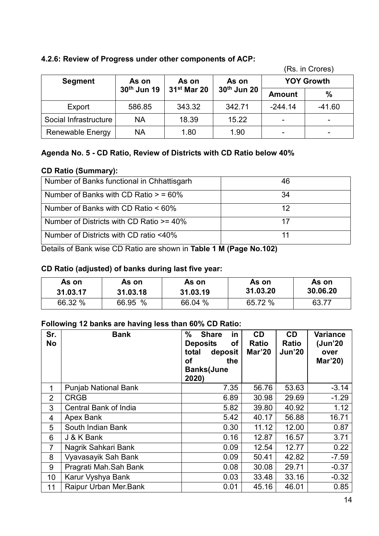## **4.2.6: Review of Progress under other components of ACP:**

|                         |                         |               |             |                   | (TS. III UUES) |
|-------------------------|-------------------------|---------------|-------------|-------------------|----------------|
| <b>Segment</b>          | As on<br>As on          |               | As on       | <b>YOY Growth</b> |                |
|                         | 30 <sup>th</sup> Jun 19 | $31st$ Mar 20 | 30th Jun 20 | <b>Amount</b>     | $\frac{0}{0}$  |
| Export                  | 586.85                  | 343.32        | 342.71      | $-244.14$         | $-41.60$       |
| Social Infrastructure   | <b>NA</b>               | 18.39         | 15.22       |                   |                |
| <b>Renewable Energy</b> | NA                      | 1.80          | 1.90        |                   |                |

(Rs. in Crores)

## **Agenda No. 5 - CD Ratio, Review of Districts with CD Ratio below 40%**

#### **CD Ratio (Summary):**

| Number of Banks functional in Chhattisgarh | 46 |
|--------------------------------------------|----|
| Number of Banks with CD Ratio $>$ = 60%    | 34 |
| Number of Banks with CD Ratio $< 60\%$     | 12 |
| Number of Districts with CD Ratio >= 40%   |    |
| Number of Districts with CD ratio <40%     |    |

Details of Bank wise CD Ratio are shown in **Table 1 M (Page No.102)**

#### **CD Ratio (adjusted) of banks during last five year:**

| As on    | As on    | As on    | As on    | As on    |
|----------|----------|----------|----------|----------|
| 31.03.17 | 31.03.18 | 31.03.19 | 31.03.20 | 30.06.20 |
| 66.32 %  | 66.95 %  | 66.04 %  | 65.72 %  | 63.77    |

## **Following 12 banks are having less than 60% CD Ratio:**

| Sr.<br><b>No</b> | <b>Bank</b>                 | $\%$<br><b>Share</b><br>in<br><b>Deposits</b><br>οf<br>total<br>deposit<br>the<br>οf<br><b>Banks(June</b><br>2020) | <b>CD</b><br><b>Ratio</b><br>Mar'20 | <b>CD</b><br><b>Ratio</b><br><b>Jun'20</b> | <b>Variance</b><br>(Jun'20<br>over<br>Mar'20) |
|------------------|-----------------------------|--------------------------------------------------------------------------------------------------------------------|-------------------------------------|--------------------------------------------|-----------------------------------------------|
| 1                | <b>Punjab National Bank</b> | 7.35                                                                                                               | 56.76                               | 53.63                                      | $-3.14$                                       |
| $\overline{2}$   | <b>CRGB</b>                 | 6.89                                                                                                               | 30.98                               | 29.69                                      | $-1.29$                                       |
| 3                | Central Bank of India       | 5.82                                                                                                               | 39.80                               | 40.92                                      | 1.12                                          |
| 4                | Apex Bank                   | 5.42                                                                                                               | 40.17                               | 56.88                                      | 16.71                                         |
| 5                | South Indian Bank           | 0.30                                                                                                               | 11.12                               | 12.00                                      | 0.87                                          |
| 6                | J & K Bank                  | 0.16                                                                                                               | 12.87                               | 16.57                                      | 3.71                                          |
| 7                | Nagrik Sahkari Bank         | 0.09                                                                                                               | 12.54                               | 12.77                                      | 0.22                                          |
| 8                | Vyavasayik Sah Bank         | 0.09                                                                                                               | 50.41                               | 42.82                                      | $-7.59$                                       |
| 9                | Pragrati Mah.Sah Bank       | 0.08                                                                                                               | 30.08                               | 29.71                                      | $-0.37$                                       |
| 10               | Karur Vyshya Bank           | 0.03                                                                                                               | 33.48                               | 33.16                                      | $-0.32$                                       |
| 11               | Raipur Urban Mer.Bank       | 0.01                                                                                                               | 45.16                               | 46.01                                      | 0.85                                          |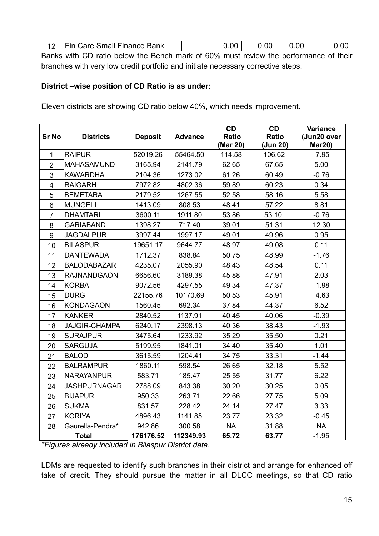| 12   Fin Care Small Finance Bank | 0.00 | 0.00 <sub>1</sub> | $0.00$ $\vert$ | 0.00 |
|----------------------------------|------|-------------------|----------------|------|

Banks with CD ratio below the Bench mark of 60% must review the performance of their branches with very low credit portfolio and initiate necessary corrective steps.

#### **District –wise position of CD Ratio is as under:**

Eleven districts are showing CD ratio below 40%, which needs improvement.

| <b>Sr No</b>   | <b>Districts</b>     | <b>Deposit</b> | <b>Advance</b> | CD<br><b>Ratio</b> | CD<br><b>Ratio</b> | <b>Variance</b><br>(Jun20 over |
|----------------|----------------------|----------------|----------------|--------------------|--------------------|--------------------------------|
|                |                      |                |                | (Mar 20)           | (Jun 20)           | <b>Mar20)</b>                  |
| 1              | <b>RAIPUR</b>        | 52019.26       | 55464.50       | 114.58             | 106.62             | $-7.95$                        |
| $\overline{2}$ | MAHASAMUND           | 3165.94        | 2141.79        | 62.65              | 67.65              | 5.00                           |
| 3              | <b>KAWARDHA</b>      | 2104.36        | 1273.02        | 61.26              | 60.49              | $-0.76$                        |
| $\overline{4}$ | <b>RAIGARH</b>       | 7972.82        | 4802.36        | 59.89              | 60.23              | 0.34                           |
| 5              | <b>BEMETARA</b>      | 2179.52        | 1267.55        | 52.58              | 58.16              | 5.58                           |
| 6              | <b>MUNGELI</b>       | 1413.09        | 808.53         | 48.41              | 57.22              | 8.81                           |
| $\overline{7}$ | <b>DHAMTARI</b>      | 3600.11        | 1911.80        | 53.86              | 53.10.             | $-0.76$                        |
| 8              | <b>GARIABAND</b>     | 1398.27        | 717.40         | 39.01              | 51.31              | 12.30                          |
| 9              | <b>JAGDALPUR</b>     | 3997.44        | 1997.17        | 49.01              | 49.96              | 0.95                           |
| 10             | <b>BILASPUR</b>      | 19651.17       | 9644.77        | 48.97              | 49.08              | 0.11                           |
| 11             | <b>DANTEWADA</b>     | 1712.37        | 838.84         | 50.75              | 48.99              | $-1.76$                        |
| 12             | <b>BALODABAZAR</b>   | 4235.07        | 2055.90        | 48.43              | 48.54              | 0.11                           |
| 13             | <b>RAJNANDGAON</b>   | 6656.60        | 3189.38        | 45.88              | 47.91              | 2.03                           |
| 14             | <b>KORBA</b>         | 9072.56        | 4297.55        | 49.34              | 47.37              | $-1.98$                        |
| 15             | <b>DURG</b>          | 22155.76       | 10170.69       | 50.53              | 45.91              | $-4.63$                        |
| 16             | <b>KONDAGAON</b>     | 1560.45        | 692.34         | 37.84              | 44.37              | 6.52                           |
| 17             | <b>KANKER</b>        | 2840.52        | 1137.91        | 40.45              | 40.06              | $-0.39$                        |
| 18             | <b>JAJGIR-CHAMPA</b> | 6240.17        | 2398.13        | 40.36              | 38.43              | $-1.93$                        |
| 19             | <b>SURAJPUR</b>      | 3475.64        | 1233.92        | 35.29              | 35.50              | 0.21                           |
| 20             | <b>SARGUJA</b>       | 5199.95        | 1841.01        | 34.40              | 35.40              | 1.01                           |
| 21             | <b>BALOD</b>         | 3615.59        | 1204.41        | 34.75              | 33.31              | $-1.44$                        |
| 22             | <b>BALRAMPUR</b>     | 1860.11        | 598.54         | 26.65              | 32.18              | 5.52                           |
| 23             | NARAYANPUR           | 583.71         | 185.47         | 25.55              | 31.77              | 6.22                           |
| 24             | <b>JASHPURNAGAR</b>  | 2788.09        | 843.38         | 30.20              | 30.25              | 0.05                           |
| 25             | <b>BIJAPUR</b>       | 950.33         | 263.71         | 22.66              | 27.75              | 5.09                           |
| 26             | <b>SUKMA</b>         | 831.57         | 228.42         | 24.14              | 27.47              | 3.33                           |
| 27             | <b>KORIYA</b>        | 4896.43        | 1141.85        | 23.77              | 23.32              | $-0.45$                        |
| 28             | Gaurella-Pendra*     | 942.86         | 300.58         | <b>NA</b>          | 31.88              | <b>NA</b>                      |
|                | <b>Total</b>         | 176176.52      | 112349.93      | 65.72              | 63.77              | $-1.95$                        |

*\*Figures already included in Bilaspur District data.*

LDMs are requested to identify such branches in their district and arrange for enhanced off take of credit. They should pursue the matter in all DLCC meetings, so that CD ratio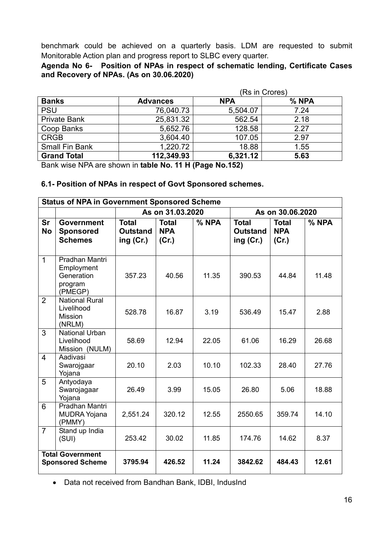benchmark could be achieved on a quarterly basis. LDM are requested to submit Monitorable Action plan and progress report to SLBC every quarter.

**Agenda No 6- Position of NPAs in respect of schematic lending, Certificate Cases and Recovery of NPAs. (As on 30.06.2020)**

|                       |                 | (Rs in Crores) |       |  |  |  |  |
|-----------------------|-----------------|----------------|-------|--|--|--|--|
| <b>Banks</b>          | <b>Advances</b> | <b>NPA</b>     | % NPA |  |  |  |  |
| <b>PSU</b>            | 76,040.73       | 5,504.07       | 7.24  |  |  |  |  |
| <b>Private Bank</b>   | 25,831.32       | 562.54         | 2.18  |  |  |  |  |
| Coop Banks            | 5,652.76        | 128.58         | 2.27  |  |  |  |  |
| <b>CRGB</b>           | 3,604.40        | 107.05         | 2.97  |  |  |  |  |
| <b>Small Fin Bank</b> | 1,220.72        | 18.88          | 1.55  |  |  |  |  |
| <b>Grand Total</b>    | 112,349.93      | 6,321.12       | 5.63  |  |  |  |  |

Bank wise NPA are shown in **table No. 11 H (Page No.152)**

#### **6.1- Position of NPAs in respect of Govt Sponsored schemes.**

| <b>Status of NPA in Government Sponsored Scheme</b> |                                                                  |                                              |                                     |       |                                                |                                     |       |  |  |
|-----------------------------------------------------|------------------------------------------------------------------|----------------------------------------------|-------------------------------------|-------|------------------------------------------------|-------------------------------------|-------|--|--|
|                                                     |                                                                  |                                              | As on 31.03.2020                    |       | As on 30.06.2020                               |                                     |       |  |  |
| <b>Sr</b><br><b>No</b>                              | <b>Government</b><br><b>Sponsored</b><br><b>Schemes</b>          | <b>Total</b><br><b>Outstand</b><br>ing (Cr.) | <b>Total</b><br><b>NPA</b><br>(Cr.) | % NPA | <b>Total</b><br><b>Outstand</b><br>ing $(Cr.)$ | <b>Total</b><br><b>NPA</b><br>(Cr.) | % NPA |  |  |
| 1                                                   | Pradhan Mantri<br>Employment<br>Generation<br>program<br>(PMEGP) | 357.23                                       | 40.56                               | 11.35 | 390.53                                         | 44.84                               | 11.48 |  |  |
| $\overline{2}$                                      | <b>National Rural</b><br>Livelihood<br>Mission<br>(NRLM)         | 528.78                                       | 16.87                               | 3.19  | 536.49                                         | 15.47                               | 2.88  |  |  |
| 3                                                   | National Urban<br>Livelihood<br>Mission (NULM)                   | 58.69                                        | 12.94                               | 22.05 | 61.06                                          | 16.29                               | 26.68 |  |  |
| $\overline{4}$                                      | Aadivasi<br>Swarojgaar<br>Yojana                                 | 20.10                                        | 2.03                                | 10.10 | 102.33                                         | 28.40                               | 27.76 |  |  |
| 5                                                   | Antyodaya<br>Swarojagaar<br>Yojana                               | 26.49                                        | 3.99                                | 15.05 | 26.80                                          | 5.06                                | 18.88 |  |  |
| 6                                                   | Pradhan Mantri<br><b>MUDRA Yojana</b><br>(PMMY)                  | 2,551.24                                     | 320.12                              | 12.55 | 2550.65                                        | 359.74                              | 14.10 |  |  |
| $\overline{7}$                                      | Stand up India<br>(SUI)                                          | 253.42                                       | 30.02                               | 11.85 | 174.76                                         | 14.62                               | 8.37  |  |  |
|                                                     | <b>Total Government</b><br><b>Sponsored Scheme</b>               | 3795.94                                      | 426.52                              | 11.24 | 3842.62                                        | 484.43                              | 12.61 |  |  |

Data not received from Bandhan Bank, IDBI, IndusInd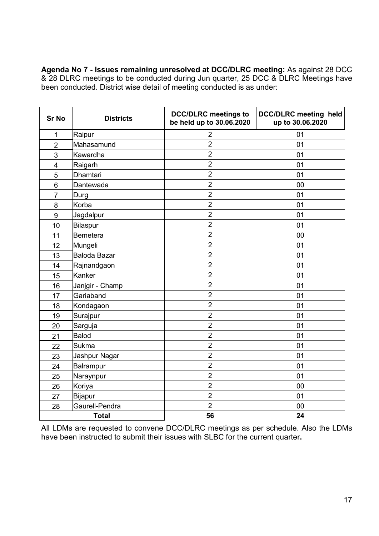**Agenda No 7 - Issues remaining unresolved at DCC/DLRC meeting:** As against 28 DCC & 28 DLRC meetings to be conducted during Jun quarter, 25 DCC & DLRC Meetings have been conducted. District wise detail of meeting conducted is as under:

| <b>Sr No</b>            | <b>Districts</b> | <b>DCC/DLRC</b> meetings to<br>be held up to 30.06.2020 | <b>DCC/DLRC</b> meeting held<br>up to 30.06.2020 |
|-------------------------|------------------|---------------------------------------------------------|--------------------------------------------------|
| $\mathbf{1}$            | Raipur           | $\overline{2}$                                          | 01                                               |
| $\overline{2}$          | Mahasamund       | $\overline{2}$                                          | 01                                               |
| 3                       | Kawardha         | $\overline{2}$                                          | 01                                               |
| $\overline{\mathbf{4}}$ | Raigarh          | $\overline{2}$                                          | 01                                               |
| 5                       | <b>Dhamtari</b>  | $\overline{2}$                                          | 01                                               |
| 6                       | Dantewada        | $\overline{2}$                                          | 00                                               |
| $\overline{7}$          | Durg             | $\overline{2}$                                          | 01                                               |
| 8                       | Korba            | $\overline{2}$                                          | 01                                               |
| 9                       | Jagdalpur        | $\overline{2}$                                          | 01                                               |
| 10                      | Bilaspur         | $\overline{2}$                                          | 01                                               |
| 11                      | Bemetera         | $\overline{2}$                                          | 00                                               |
| 12                      | Mungeli          | $\overline{2}$                                          | 01                                               |
| 13                      | Baloda Bazar     | $\overline{2}$                                          | 01                                               |
| 14                      | Rajnandgaon      | $\overline{2}$                                          | 01                                               |
| 15                      | Kanker           | $\overline{2}$                                          | 01                                               |
| 16                      | Janjgir - Champ  | $\overline{2}$                                          | 01                                               |
| 17                      | Gariaband        | $\overline{2}$                                          | 01                                               |
| 18                      | Kondagaon        | $\overline{2}$                                          | 01                                               |
| 19                      | Surajpur         | $\overline{2}$                                          | 01                                               |
| 20                      | Sarguja          | $\overline{2}$                                          | 01                                               |
| 21                      | Balod            | $\overline{2}$                                          | 01                                               |
| 22                      | <b>Sukma</b>     | $\overline{2}$                                          | 01                                               |
| 23                      | Jashpur Nagar    | $\overline{2}$                                          | 01                                               |
| 24                      | Balrampur        | $\overline{2}$                                          | 01                                               |
| 25                      | Naraynpur        | $\overline{2}$                                          | 01                                               |
| 26                      | Koriya           | $\overline{2}$                                          | 00                                               |
| 27                      | <b>Bijapur</b>   | $\overline{2}$                                          | 01                                               |
| 28                      | Gaurell-Pendra   | $\overline{2}$                                          | 00                                               |
|                         | <b>Total</b>     | 56                                                      | 24                                               |

All LDMs are requested to convene DCC/DLRC meetings as per schedule. Also the LDMs have been instructed to submit their issues with SLBC for the current quarter**.**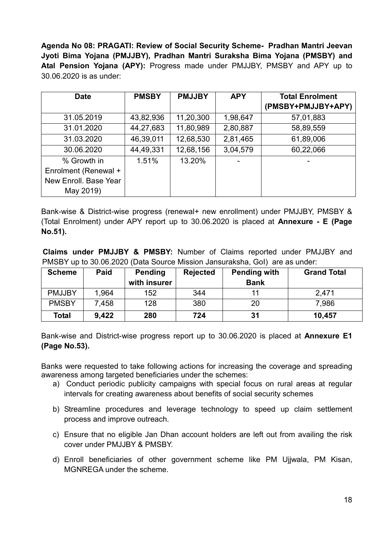**Agenda No 08: PRAGATI: Review of Social Security Scheme- Pradhan Mantri Jeevan Jyoti Bima Yojana (PMJJBY), Pradhan Mantri Suraksha Bima Yojana (PMSBY) and Atal Pension Yojana (APY):** Progress made under PMJJBY, PMSBY and APY up to 30.06.2020 is as under:

| <b>Date</b>           | <b>PMSBY</b> | <b>PMJJBY</b><br><b>APY</b> |          | <b>Total Enrolment</b> |
|-----------------------|--------------|-----------------------------|----------|------------------------|
|                       |              |                             |          | (PMSBY+PMJJBY+APY)     |
| 31.05.2019            | 43,82,936    | 11,20,300                   | 1,98,647 | 57,01,883              |
| 31.01.2020            | 44,27,683    | 11,80,989                   | 2,80,887 | 58,89,559              |
| 31.03.2020            | 46,39,011    | 12,68,530                   | 2,81,465 | 61,89,006              |
| 30.06.2020            | 44,49,331    | 12,68,156                   | 3,04,579 | 60,22,066              |
| % Growth in           | 1.51%        | 13.20%                      |          |                        |
| Enrolment (Renewal +  |              |                             |          |                        |
| New Enroll. Base Year |              |                             |          |                        |
| May 2019)             |              |                             |          |                        |

Bank-wise & District-wise progress (renewal+ new enrollment) under PMJJBY, PMSBY & (Total Enrolment) under APY report up to 30.06.2020 is placed at **Annexure - E (Page No.51).**

**Claims under PMJJBY & PMSBY:** Number of Claims reported under PMJJBY and PMSBY up to 30.06.2020 (Data Source Mission Jansuraksha, GoI) are as under:

| <b>Scheme</b> | Paid  | <b>Pending</b><br>with insurer | <b>Rejected</b> | <b>Pending with</b><br><b>Bank</b> | <b>Grand Total</b> |
|---------------|-------|--------------------------------|-----------------|------------------------------------|--------------------|
| <b>PMJJBY</b> | 1,964 | 152                            | 344             | 11                                 | 2,471              |
| <b>PMSBY</b>  | 7,458 | 128                            | 380             | 20                                 | 7,986              |
| Total         | 9,422 | 280                            | 724             | 31                                 | 10,457             |

Bank-wise and District-wise progress report up to 30.06.2020 is placed at **Annexure E1 (Page No.53).**

Banks were requested to take following actions for increasing the coverage and spreading awareness among targeted beneficiaries under the schemes:

- a) Conduct periodic publicity campaigns with special focus on rural areas at regular intervals for creating awareness about benefits of social security schemes
- b) Streamline procedures and leverage technology to speed up claim settlement process and improve outreach.
- c) Ensure that no eligible Jan Dhan account holders are left out from availing the risk cover under PMJJBY & PMSBY.
- d) Enroll beneficiaries of other government scheme like PM Ujjwala, PM Kisan, MGNREGA under the scheme.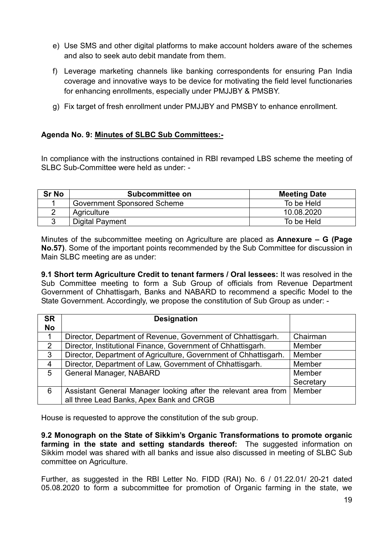- e) Use SMS and other digital platforms to make account holders aware of the schemes and also to seek auto debit mandate from them.
- f) Leverage marketing channels like banking correspondents for ensuring Pan India coverage and innovative ways to be device for motivating the field level functionaries for enhancing enrollments, especially under PMJJBY & PMSBY.
- g) Fix target of fresh enrollment under PMJJBY and PMSBY to enhance enrollment.

#### **Agenda No. 9: Minutes of SLBC Sub Committees:-**

In compliance with the instructions contained in RBI revamped LBS scheme the meeting of SLBC Sub-Committee were held as under: -

| <b>Sr No</b> | Subcommittee on             | <b>Meeting Date</b> |
|--------------|-----------------------------|---------------------|
|              | Government Sponsored Scheme | To be Held          |
|              | Agriculture                 | 10.08.2020          |
|              | Digital Payment             | To be Held          |

Minutes of the subcommittee meeting on Agriculture are placed as **Annexure – G (Page No.57)**. Some of the important points recommended by the Sub Committee for discussion in Main SLBC meeting are as under:

**9.1 Short term Agriculture Credit to tenant farmers / Oral lessees:** It was resolved in the Sub Committee meeting to form a Sub Group of officials from Revenue Department Government of Chhattisgarh, Banks and NABARD to recommend a specific Model to the State Government. Accordingly, we propose the constitution of Sub Group as under: -

| <b>SR</b><br><b>No</b> | <b>Designation</b>                                               |           |
|------------------------|------------------------------------------------------------------|-----------|
| 1                      | Director, Department of Revenue, Government of Chhattisgarh.     | Chairman  |
|                        |                                                                  |           |
| 2                      | Director, Institutional Finance, Government of Chhattisgarh.     | Member    |
| 3                      | Director, Department of Agriculture, Government of Chhattisgarh. | Member    |
| $\overline{4}$         | Director, Department of Law, Government of Chhattisgarh.         | Member    |
| 5                      | General Manager, NABARD                                          | Member    |
|                        |                                                                  | Secretary |
| 6                      | Assistant General Manager looking after the relevant area from   | Member    |
|                        | all three Lead Banks, Apex Bank and CRGB                         |           |

House is requested to approve the constitution of the sub group.

**9.2 Monograph on the State of Sikkim's Organic Transformations to promote organic farming in the state and setting standards thereof:** The suggested information on Sikkim model was shared with all banks and issue also discussed in meeting of SLBC Sub committee on Agriculture.

Further, as suggested in the RBI Letter No. FIDD (RAI) No. 6 / 01.22.01/ 20-21 dated 05.08.2020 to form a subcommittee for promotion of Organic farming in the state, we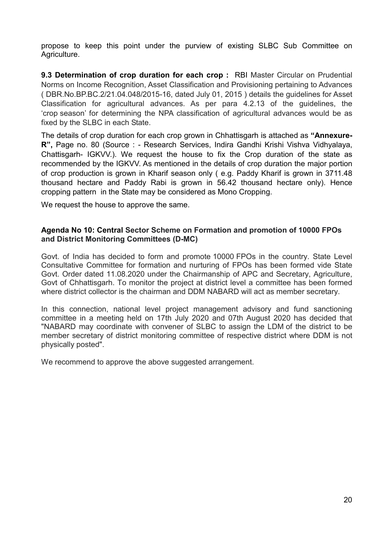propose to keep this point under the purview of existing SLBC Sub Committee on Agriculture.

**9.3 Determination of crop duration for each crop : RBI Master Circular on Prudential** Norms on Income Recognition, Asset Classification and Provisioning pertaining to Advances ( DBR.No.BP.BC.2/21.04.048/2015-16, dated July 01, 2015 ) details the guidelines for Asset Classification for agricultural advances. As per para 4.2.13 of the guidelines, the 'crop season' for determining the NPA classification of agricultural advances would be as fixed by the SLBC in each State.

The details of crop duration for each crop grown in Chhattisgarh is attached as **"Annexure-R",** Page no. 80 (Source : - Research Services, Indira Gandhi Krishi Vishva Vidhyalaya, Chattisgarh- IGKVV.). We request the house to fix the Crop duration of the state as recommended by the IGKVV. As mentioned in the details of crop duration the major portion of crop production is grown in Kharif season only ( e.g. Paddy Kharif is grown in 3711.48 thousand hectare and Paddy Rabi is grown in 56.42 thousand hectare only). Hence cropping pattern in the State may be considered as Mono Cropping.

We request the house to approve the same.

#### **Agenda No 10: Central Sector Scheme on Formation and promotion of 10000 FPOs and District Monitoring Committees (D-MC)**

Govt. of India has decided to form and promote 10000 FPOs in the country. State Level Consultative Committee for formation and nurturing of FPOs has been formed vide State Govt. Order dated 11.08.2020 under the Chairmanship of APC and Secretary, Agriculture, Govt of Chhattisgarh. To monitor the project at district level a committee has been formed where district collector is the chairman and DDM NABARD will act as member secretary.

In this connection, national level project management advisory and fund sanctioning committee in a meeting held on 17th July 2020 and 07th August 2020 has decided that "NABARD may coordinate with convener of SLBC to assign the LDM of the district to be member secretary of district monitoring committee of respective district where DDM is not physically posted".

We recommend to approve the above suggested arrangement.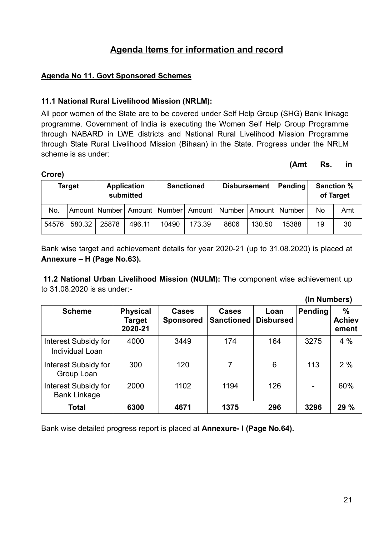## **Agenda Items for information and record**

#### **Agenda No 11. Govt Sponsored Schemes**

**Crore)**

#### **11.1 National Rural Livelihood Mission (NRLM):**

All poor women of the State are to be covered under Self Help Group (SHG) Bank linkage programme. Government of India is executing the Women Self Help Group Programme through NABARD in LWE districts and National Rural Livelihood Mission Programme through State Rural Livelihood Mission (Bihaan) in the State. Progress under the NRLM scheme is as under:

#### **(Amt Rs. in**

**(In Numbers)**

| - - - -       |        |                                 |        |                   |        |                                                                     |        |         |     |                                |  |
|---------------|--------|---------------------------------|--------|-------------------|--------|---------------------------------------------------------------------|--------|---------|-----|--------------------------------|--|
| <b>Target</b> |        | <b>Application</b><br>submitted |        | <b>Sanctioned</b> |        | <b>Disbursement</b>                                                 |        | Pending |     | <b>Sanction %</b><br>of Target |  |
| No.           |        |                                 |        |                   |        | Amount Number   Amount   Number   Amount   Number   Amount   Number |        |         | No. | Amt                            |  |
| 54576         | 580.32 | 25878                           | 496.11 | 10490             | 173.39 | 8606                                                                | 130.50 | 15388   | 19  | 30                             |  |

Bank wise target and achievement details for year 2020-21 (up to 31.08.2020) is placed at **Annexure – H (Page No.63).**

**11.2 National Urban Livelihood Mission (NULM):** The component wise achievement up to 31.08.2020 is as under:-

|                                                    |                                             |                           |                                   |                          | uu nauuwvivi   |                                         |
|----------------------------------------------------|---------------------------------------------|---------------------------|-----------------------------------|--------------------------|----------------|-----------------------------------------|
| <b>Scheme</b>                                      | <b>Physical</b><br><b>Target</b><br>2020-21 | Cases<br><b>Sponsored</b> | <b>Cases</b><br><b>Sanctioned</b> | Loan<br><b>Disbursed</b> | <b>Pending</b> | $\frac{0}{0}$<br><b>Achiev</b><br>ement |
| Interest Subsidy for<br>Individual Loan            | 4000                                        | 3449                      | 174                               | 164                      | 3275           | 4%                                      |
| Interest Subsidy for<br>Group Loan                 | 300                                         |                           | 7                                 | 6                        | 113            | 2%                                      |
| <b>Interest Subsidy for</b><br><b>Bank Linkage</b> | 2000                                        | 1102                      | 1194                              | 126                      |                | 60%                                     |
| Total                                              | 6300                                        | 4671                      | 1375                              | 296                      | 3296           | 29 %                                    |

Bank wise detailed progress report is placed at **Annexure- I (Page No.64).**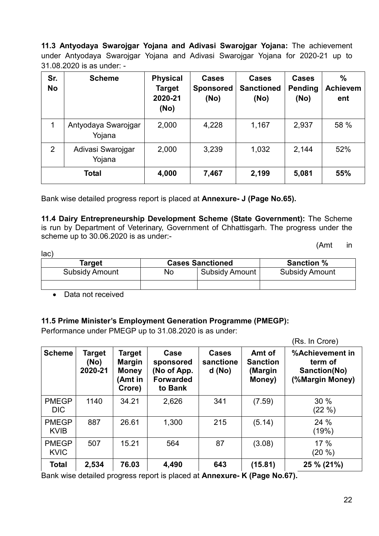**11.3 Antyodaya Swarojgar Yojana and Adivasi Swarojgar Yojana:** The achievement under Antyodaya Swarojgar Yojana and Adivasi Swarojgar Yojana for 2020-21 up to 31.08.2020 is as under: -

| Sr.<br><b>No</b> | <b>Scheme</b>                 | <b>Physical</b><br><b>Target</b><br>2020-21<br>(No) | <b>Cases</b><br><b>Sponsored</b><br>(No) | <b>Cases</b><br><b>Sanctioned</b><br>(No) | <b>Cases</b><br>Pending<br>(No) | $\frac{0}{0}$<br><b>Achievem</b><br>ent |
|------------------|-------------------------------|-----------------------------------------------------|------------------------------------------|-------------------------------------------|---------------------------------|-----------------------------------------|
|                  | Antyodaya Swarojgar<br>Yojana | 2,000                                               | 4,228                                    | 1,167                                     | 2,937                           | 58 %                                    |
| 2                | Adivasi Swarojgar<br>Yojana   | 2,000                                               | 3,239                                    | 1,032                                     | 2,144                           | 52%                                     |
| <b>Total</b>     |                               | 4,000                                               | 7,467                                    | 2,199                                     | 5,081                           | 55%                                     |

Bank wise detailed progress report is placed at **Annexure- J (Page No.65).**

**11.4 Dairy Entrepreneurship Development Scheme (State Government):** The Scheme is run by Department of Veterinary, Government of Chhattisgarh. The progress under the scheme up to 30.06.2020 is as under:-

(Amt in

| Target                |    | <b>Cases Sanctioned</b> | <b>Sanction %</b>     |
|-----------------------|----|-------------------------|-----------------------|
| <b>Subsidy Amount</b> | No | <b>Subsidy Amount</b>   | <b>Subsidy Amount</b> |
|                       |    |                         |                       |

• Data not received

lac)

#### **11.5 Prime Minister's Employment Generation Programme (PMEGP):**

Performance under PMEGP up to 31.08.2020 is as under:

|                             |                           |                                                                    |                                                                 |                                     |                                                | (Rs. In Crore)                                                |
|-----------------------------|---------------------------|--------------------------------------------------------------------|-----------------------------------------------------------------|-------------------------------------|------------------------------------------------|---------------------------------------------------------------|
| <b>Scheme</b>               | Target<br>(No)<br>2020-21 | <b>Target</b><br><b>Margin</b><br><b>Money</b><br>Amt in<br>Crore) | Case<br>sponsored<br>(No of App.<br><b>Forwarded</b><br>to Bank | <b>Cases</b><br>sanctione<br>d (No) | Amt of<br><b>Sanction</b><br>(Margin<br>Money) | %Achievement in<br>term of<br>Sanction(No)<br>(%Margin Money) |
| <b>PMEGP</b><br><b>DIC</b>  | 1140                      | 34.21                                                              | 2,626                                                           | 341                                 | (7.59)                                         | 30%<br>$(22\% )$                                              |
| <b>PMEGP</b><br><b>KVIB</b> | 887                       | 26.61                                                              | 1,300                                                           | 215                                 | (5.14)                                         | 24 %<br>(19%)                                                 |
| <b>PMEGP</b><br><b>KVIC</b> | 507                       | 15.21                                                              | 564                                                             | 87                                  | (3.08)                                         | 17%<br>(20 %)                                                 |
| <b>Total</b>                | 2,534                     | 76.03                                                              | 4,490                                                           | 643                                 | (15.81)                                        | 25 % (21%)                                                    |

Bank wise detailed progress report is placed at **Annexure- K (Page No.67).**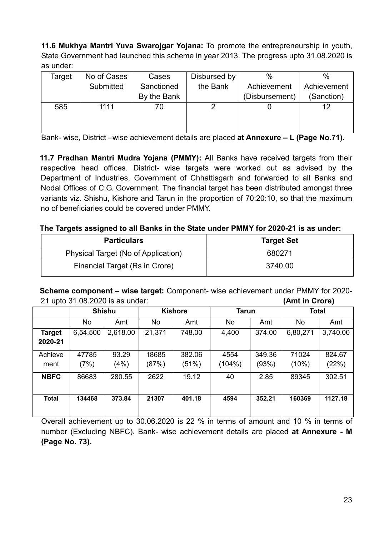**11.6 Mukhya Mantri Yuva Swarojgar Yojana:** To promote the entrepreneurship in youth, State Government had launched this scheme in year 2013. The progress upto 31.08.2020 is as under:

| Target | No of Cases | Cases       | Disbursed by | $\%$           | $\%$        |
|--------|-------------|-------------|--------------|----------------|-------------|
|        | Submitted   | Sanctioned  | the Bank     | Achievement    | Achievement |
|        |             | By the Bank |              | (Disbursement) | (Sanction)  |
| 585    | 1111        | 70          |              |                | 12          |
|        |             |             |              |                |             |
|        |             |             |              |                |             |

Bank- wise, District –wise achievement details are placed **at Annexure – L (Page No.71).**

**11.7 Pradhan Mantri Mudra Yojana (PMMY):** All Banks have received targets from their respective head offices. District- wise targets were worked out as advised by the Department of Industries, Government of Chhattisgarh and forwarded to all Banks and Nodal Offices of C.G. Government. The financial target has been distributed amongst three variants viz. Shishu, Kishore and Tarun in the proportion of 70:20:10, so that the maximum no of beneficiaries could be covered under PMMY.

#### **The Targets assigned to all Banks in the State under PMMY for 2020-21 is as under:**

| <b>Particulars</b>                  | <b>Target Set</b> |
|-------------------------------------|-------------------|
| Physical Target (No of Application) | 680271            |
| Financial Target (Rs in Crore)      | 3740.00           |

**Scheme component – wise target:** Component- wise achievement under PMMY for 2020- 21 upto 31.08.2020 is as under: **(Amt in Crore)**

|               | <b>Shishu</b> |          | <b>Kishore</b> |        | <b>Tarun</b> |        | <b>Total</b> |          |
|---------------|---------------|----------|----------------|--------|--------------|--------|--------------|----------|
|               | No.           | Amt      | No             | Amt    | No           | Amt    | No.          | Amt      |
| <b>Target</b> | 6,54,500      | 2,618.00 | 21,371         | 748.00 | 4,400        | 374.00 | 6,80,271     | 3,740.00 |
| 2020-21       |               |          |                |        |              |        |              |          |
| Achieve       | 47785         | 93.29    | 18685          | 382.06 | 4554         | 349.36 | 71024        | 824.67   |
| ment          | (7%)          | (4%)     | (87%)          | (51%)  | $(104\%)$    | (93%)  | (10%)        | (22%)    |
| <b>NBFC</b>   | 86683         | 280.55   | 2622           | 19.12  | 40           | 2.85   | 89345        | 302.51   |
|               |               |          |                |        |              |        |              |          |
| <b>Total</b>  | 134468        | 373.84   | 21307          | 401.18 | 4594         | 352.21 | 160369       | 1127.18  |
|               |               |          |                |        |              |        |              |          |

Overall achievement up to 30.06.2020 is 22 % in terms of amount and 10 % in terms of number (Excluding NBFC). Bank- wise achievement details are placed **at Annexure - M (Page No. 73).**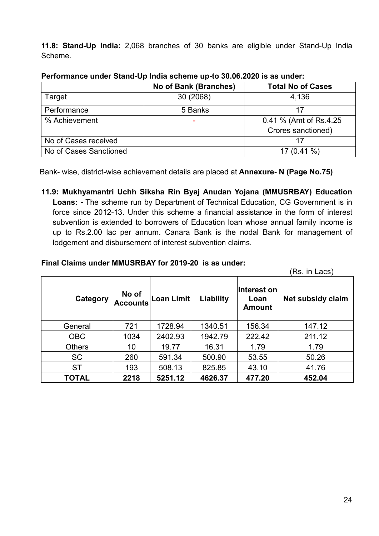**11.8: Stand-Up India:** 2,068 branches of 30 banks are eligible under Stand-Up India Scheme.

|                        | No of Bank (Branches) | <b>Total No of Cases</b> |
|------------------------|-----------------------|--------------------------|
| Target                 | 30 (2068)             | 4,136                    |
| Performance            | 5 Banks               |                          |
| % Achievement          |                       | 0.41 % (Amt of Rs.4.25)  |
|                        |                       | Crores sanctioned)       |
| No of Cases received   |                       |                          |
| No of Cases Sanctioned |                       | 17 $(0.41\%)$            |

#### **Performance under Stand-Up India scheme up-to 30.06.2020 is as under:**

Bank- wise, district-wise achievement details are placed at **Annexure- N (Page No.75)**

**11.9: Mukhyamantri Uchh Siksha Rin Byaj Anudan Yojana (MMUSRBAY) Education Loans: -** The scheme run by Department of Technical Education, CG Government is in force since 2012-13. Under this scheme a financial assistance in the form of interest subvention is extended to borrowers of Education loan whose annual family income is up to Rs.2.00 lac per annum. Canara Bank is the nodal Bank for management of lodgement and disbursement of interest subvention claims.

#### **Final Claims under MMUSRBAY for 2019-20 is as under:**

|               |                          |            |           |                                      | (Rs. in Lacs)     |
|---------------|--------------------------|------------|-----------|--------------------------------------|-------------------|
| Category      | No of<br><b>Accounts</b> | Loan Limit | Liability | Interest on<br>Loan<br><b>Amount</b> | Net subsidy claim |
| General       | 721                      | 1728.94    | 1340.51   | 156.34                               | 147.12            |
| <b>OBC</b>    | 1034                     | 2402.93    | 1942.79   | 222.42                               | 211.12            |
| <b>Others</b> | 10                       | 19.77      | 16.31     | 1.79                                 | 1.79              |
| <b>SC</b>     | 260                      | 591.34     | 500.90    | 53.55                                | 50.26             |
| <b>ST</b>     | 193                      | 508.13     | 825.85    | 43.10                                | 41.76             |
| TOTAL         | 2218                     | 5251.12    | 4626.37   | 477.20                               | 452.04            |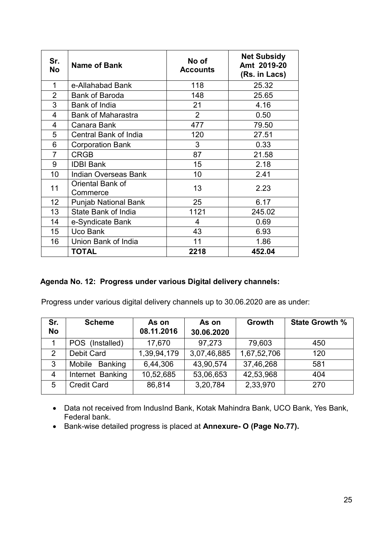| Sr.<br><b>No</b> | <b>Name of Bank</b>          | No of<br><b>Accounts</b> | <b>Net Subsidy</b><br>Amt 2019-20<br>(Rs. in Lacs) |
|------------------|------------------------------|--------------------------|----------------------------------------------------|
| 1                | e-Allahabad Bank             | 118                      | 25.32                                              |
| $\overline{2}$   | <b>Bank of Baroda</b>        | 148                      | 25.65                                              |
| 3                | Bank of India                | 21                       | 4.16                                               |
| 4                | <b>Bank of Maharastra</b>    | 2                        | 0.50                                               |
| 4                | Canara Bank                  | 477                      | 79.50                                              |
| 5                | Central Bank of India        | 120                      | 27.51                                              |
| 6                | <b>Corporation Bank</b>      | 3                        | 0.33                                               |
| $\overline{7}$   | <b>CRGB</b>                  | 87                       | 21.58                                              |
| 9                | <b>IDBI Bank</b>             | 15                       | 2.18                                               |
| 10               | <b>Indian Overseas Bank</b>  | 10                       | 2.41                                               |
| 11               | Oriental Bank of<br>Commerce | 13                       | 2.23                                               |
| 12               | <b>Punjab National Bank</b>  | 25                       | 6.17                                               |
| 13               | State Bank of India          | 1121                     | 245.02                                             |
| 14               | e-Syndicate Bank             | $\overline{\mathbf{4}}$  | 0.69                                               |
| 15               | Uco Bank                     | 43                       | 6.93                                               |
| 16               | Union Bank of India          | 11                       | 1.86                                               |
|                  | <b>TOTAL</b>                 | 2218                     | 452.04                                             |

#### **Agenda No. 12: Progress under various Digital delivery channels:**

Progress under various digital delivery channels up to 30.06.2020 are as under:

| Sr.<br><b>No</b> | <b>Scheme</b>      | As on<br>08.11.2016 | As on<br>30.06.2020 | Growth      | <b>State Growth %</b> |
|------------------|--------------------|---------------------|---------------------|-------------|-----------------------|
|                  | POS (Installed)    | 17,670              | 97,273              | 79,603      | 450                   |
| 2                | Debit Card         | 1,39,94,179         | 3,07,46,885         | 1,67,52,706 | 120                   |
| 3                | Mobile Banking     | 6,44,306            | 43,90,574           | 37,46,268   | 581                   |
| 4                | Internet Banking   | 10,52,685           | 53,06,653           | 42,53,968   | 404                   |
| 5                | <b>Credit Card</b> | 86,814              | 3,20,784            | 2,33,970    | 270                   |

- Data not received from IndusInd Bank, Kotak Mahindra Bank, UCO Bank, Yes Bank, Federal bank.
- Bank-wise detailed progress is placed at **Annexure- O (Page No.77).**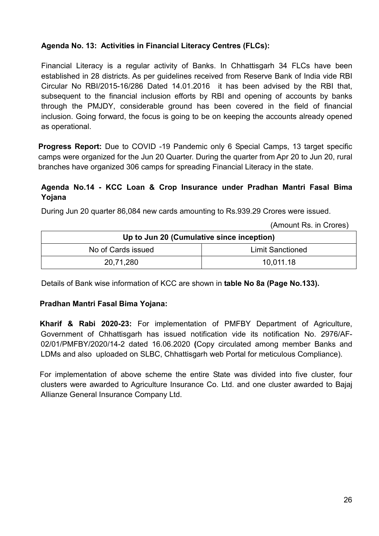## **Agenda No. 13: Activities in Financial Literacy Centres (FLCs):**

Financial Literacy is a regular activity of Banks. In Chhattisgarh 34 FLCs have been established in 28 districts. As per guidelines received from Reserve Bank of India vide RBI Circular No RBI/2015-16/286 Dated 14.01.2016 it has been advised by the RBI that, subsequent to the financial inclusion efforts by RBI and opening of accounts by banks through the PMJDY, considerable ground has been covered in the field of financial inclusion. Going forward, the focus is going to be on keeping the accounts already opened as operational.

**Progress Report:** Due to COVID -19 Pandemic only 6 Special Camps, 13 target specific camps were organized for the Jun 20 Quarter. During the quarter from Apr 20 to Jun 20, rural branches have organized 306 camps for spreading Financial Literacy in the state.

#### **Agenda No.14 - KCC Loan & Crop Insurance under Pradhan Mantri Fasal Bima Yojana**

During Jun 20 quarter 86,084 new cards amounting to Rs.939.29 Crores were issued.

(Amount Rs. in Crores)

| Up to Jun 20 (Cumulative since inception) |                         |  |  |  |
|-------------------------------------------|-------------------------|--|--|--|
| No of Cards issued                        | <b>Limit Sanctioned</b> |  |  |  |
| 20,71,280                                 | 10,011.18               |  |  |  |

Details of Bank wise information of KCC are shown in **table No 8a (Page No.133).**

#### **Pradhan Mantri Fasal Bima Yojana:**

**Kharif & Rabi 2020-23:** For implementation of PMFBY Department of Agriculture, Government of Chhattisgarh has issued notification vide its notification No. 2976/AF-02/01/PMFBY/2020/14-2 dated 16.06.2020 **(**Copy circulated among member Banks and LDMs and also uploaded on SLBC, Chhattisgarh web Portal for meticulous Compliance).

For implementation of above scheme the entire State was divided into five cluster, four clusters were awarded to Agriculture Insurance Co. Ltd. and one cluster awarded to Bajaj Allianze General Insurance Company Ltd.